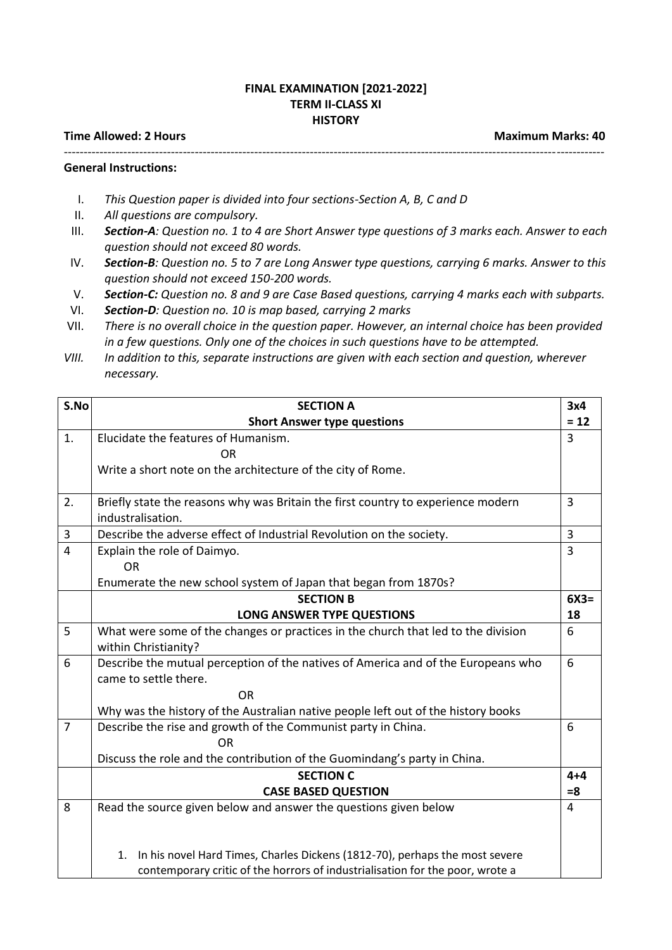## **FINAL EXAMINATION [2021-2022] TERM II-CLASS XI HISTORY**

## **Time Allowed: 2 Hours Maximum Marks: 40 and Maximum Marks: 40 and Maximum Marks: 40 and Maximum Marks: 40 and Maximum Marks: 40 and Maximum Marks: 40 and Maximum Marks: 40 and Maximum Marks: 40 and Maximum Marks: 40 and M**

----------------------------------------------------------------------------------------------------------------------------------------

## **General Instructions:**

- I. *This Question paper is divided into four sections-Section A, B, C and D*
- II. *All questions are compulsory.*
- III. *Section-A: Question no. 1 to 4 are Short Answer type questions of 3 marks each. Answer to each question should not exceed 80 words.*
- IV. *Section-B: Question no. 5 to 7 are Long Answer type questions, carrying 6 marks. Answer to this question should not exceed 150-200 words.*
- V. *Section-C: Question no. 8 and 9 are Case Based questions, carrying 4 marks each with subparts.*
- VI. *Section-D: Question no. 10 is map based, carrying 2 marks*
- VII. *There is no overall choice in the question paper. However, an internal choice has been provided in a few questions. Only one of the choices in such questions have to be attempted.*
- *VIII. In addition to this, separate instructions are given with each section and question, wherever necessary.*

| S.No           | <b>SECTION A</b>                                                                  | 3x4             |
|----------------|-----------------------------------------------------------------------------------|-----------------|
|                | <b>Short Answer type questions</b>                                                | $= 12$          |
| 1.             | Elucidate the features of Humanism.                                               | 3               |
|                | ΟR                                                                                |                 |
|                | Write a short note on the architecture of the city of Rome.                       |                 |
|                |                                                                                   |                 |
| 2.             | Briefly state the reasons why was Britain the first country to experience modern  | 3               |
|                | industralisation.                                                                 |                 |
| 3              | Describe the adverse effect of Industrial Revolution on the society.              | $\overline{3}$  |
| $\overline{4}$ | Explain the role of Daimyo.                                                       | $\overline{3}$  |
|                | <b>OR</b>                                                                         |                 |
|                | Enumerate the new school system of Japan that began from 1870s?                   |                 |
|                | <b>SECTION B</b>                                                                  | $6X3=$          |
|                | <b>LONG ANSWER TYPE QUESTIONS</b>                                                 | 18              |
| 5              | What were some of the changes or practices in the church that led to the division | 6               |
|                | within Christianity?                                                              |                 |
| 6              | Describe the mutual perception of the natives of America and of the Europeans who | $6\phantom{1}6$ |
|                | came to settle there.                                                             |                 |
|                | <b>OR</b>                                                                         |                 |
|                | Why was the history of the Australian native people left out of the history books |                 |
| $\overline{7}$ | Describe the rise and growth of the Communist party in China.                     | $6\phantom{1}6$ |
|                | <b>OR</b>                                                                         |                 |
|                | Discuss the role and the contribution of the Guomindang's party in China.         |                 |
|                | <b>SECTION C</b>                                                                  | $4 + 4$         |
|                | <b>CASE BASED QUESTION</b>                                                        | $= 8$           |
| 8              | Read the source given below and answer the questions given below                  | 4               |
|                |                                                                                   |                 |
|                |                                                                                   |                 |
|                | In his novel Hard Times, Charles Dickens (1812-70), perhaps the most severe<br>1. |                 |
|                | contemporary critic of the horrors of industrialisation for the poor, wrote a     |                 |